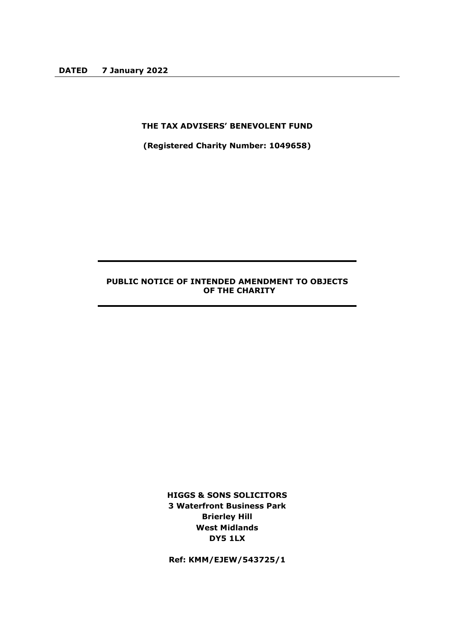## **THE TAX ADVISERS' BENEVOLENT FUND**

**(Registered Charity Number: 1049658)**

# **PUBLIC NOTICE OF INTENDED AMENDMENT TO OBJECTS OF THE CHARITY**

**HIGGS & SONS SOLICITORS 3 Waterfront Business Park Brierley Hill West Midlands DY5 1LX**

**Ref: KMM/EJEW/543725/1**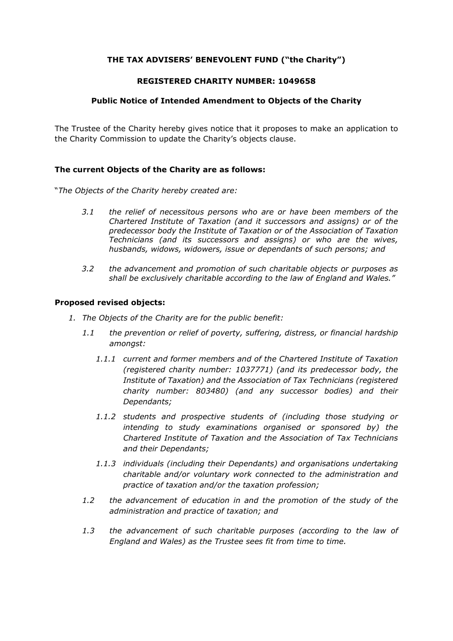# **THE TAX ADVISERS' BENEVOLENT FUND ("the Charity")**

#### **REGISTERED CHARITY NUMBER: 1049658**

## **Public Notice of Intended Amendment to Objects of the Charity**

The Trustee of the Charity hereby gives notice that it proposes to make an application to the Charity Commission to update the Charity's objects clause.

#### **The current Objects of the Charity are as follows:**

"*The Objects of the Charity hereby created are:*

- *3.1 the relief of necessitous persons who are or have been members of the Chartered Institute of Taxation (and it successors and assigns) or of the predecessor body the Institute of Taxation or of the Association of Taxation Technicians (and its successors and assigns) or who are the wives, husbands, widows, widowers, issue or dependants of such persons; and*
- *3.2 the advancement and promotion of such charitable objects or purposes as shall be exclusively charitable according to the law of England and Wales."*

#### **Proposed revised objects:**

- *1. The Objects of the Charity are for the public benefit:*
	- *1.1 the prevention or relief of poverty, suffering, distress, or financial hardship amongst:*
		- *1.1.1 current and former members and of the Chartered Institute of Taxation (registered charity number: 1037771) (and its predecessor body, the Institute of Taxation) and the Association of Tax Technicians (registered charity number: 803480) (and any successor bodies) and their Dependants;*
		- *1.1.2 students and prospective students of (including those studying or intending to study examinations organised or sponsored by) the Chartered Institute of Taxation and the Association of Tax Technicians and their Dependants;*
		- *1.1.3 individuals (including their Dependants) and organisations undertaking charitable and/or voluntary work connected to the administration and practice of taxation and/or the taxation profession;*
	- *1.2 the advancement of education in and the promotion of the study of the administration and practice of taxation; and*
	- *1.3 the advancement of such charitable purposes (according to the law of England and Wales) as the Trustee sees fit from time to time.*